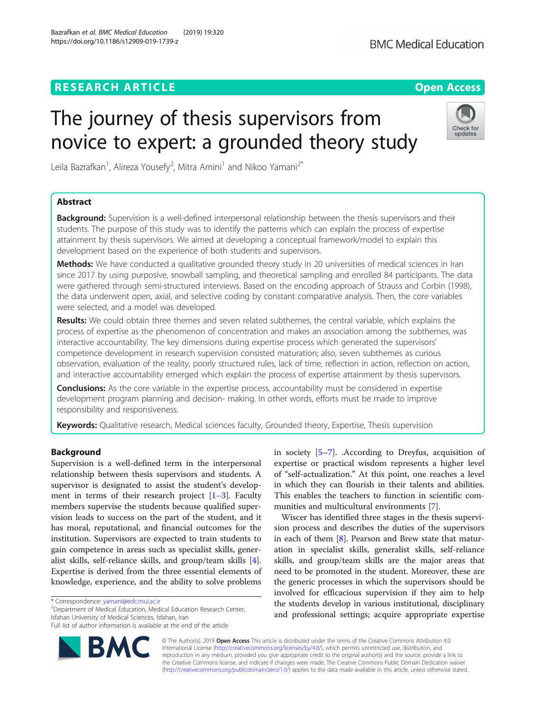## **RESEARCH ARTICLE Example 2018 12:30 THE Open Access**

# The journey of thesis supervisors from novice to expert: a grounded theory study

Leila Bazrafkan<sup>1</sup>, Alireza Yousefy<sup>2</sup>, Mitra Amini<sup>1</sup> and Nikoo Yamani<sup>2\*</sup>

## Abstract

Background: Supervision is a well-defined interpersonal relationship between the thesis supervisors and their students. The purpose of this study was to identify the patterns which can explain the process of expertise attainment by thesis supervisors. We aimed at developing a conceptual framework/model to explain this development based on the experience of both students and supervisors.

Methods: We have conducted a qualitative grounded theory study in 20 universities of medical sciences in Iran since 2017 by using purposive, snowball sampling, and theoretical sampling and enrolled 84 participants. The data were gathered through semi-structured interviews. Based on the encoding approach of Strauss and Corbin (1998), the data underwent open, axial, and selective coding by constant comparative analysis. Then, the core variables were selected, and a model was developed.

Results: We could obtain three themes and seven related subthemes, the central variable, which explains the process of expertise as the phenomenon of concentration and makes an association among the subthemes, was interactive accountability. The key dimensions during expertise process which generated the supervisors' competence development in research supervision consisted maturation; also, seven subthemes as curious observation, evaluation of the reality, poorly structured rules, lack of time, reflection in action, reflection on action, and interactive accountability emerged which explain the process of expertise attainment by thesis supervisors.

Conclusions: As the core variable in the expertise process, accountability must be considered in expertise development program planning and decision- making. In other words, efforts must be made to improve responsibility and responsiveness.

Keywords: Qualitative research, Medical sciences faculty, Grounded theory, Expertise, Thesis supervision

## **Background**

Supervision is a well-defined term in the interpersonal relationship between thesis supervisors and students. A supervisor is designated to assist the student's development in terms of their research project  $[1-3]$  $[1-3]$  $[1-3]$  $[1-3]$ . Faculty members supervise the students because qualified supervision leads to success on the part of the student, and it has moral, reputational, and financial outcomes for the institution. Supervisors are expected to train students to gain competence in areas such as specialist skills, generalist skills, self-reliance skills, and group/team skills [\[4](#page-11-0)]. Expertise is derived from the three essential elements of knowledge, experience, and the ability to solve problems

\* Correspondence: [yamani@edc.mui.ac.ir](mailto:yamani@edc.mui.ac.ir) <sup>2</sup>

Department of Medical Education, Medical Education Research Center, Isfahan University of Medical Sciences, Isfahan, Iran

© The Author(s). 2019 **Open Access** This article is distributed under the terms of the Creative Commons Attribution 4.0 International License [\(http://creativecommons.org/licenses/by/4.0/](http://creativecommons.org/licenses/by/4.0/)), which permits unrestricted use, distribution, and reproduction in any medium, provided you give appropriate credit to the original author(s) and the source, provide a link to the Creative Commons license, and indicate if changes were made. The Creative Commons Public Domain Dedication waiver [\(http://creativecommons.org/publicdomain/zero/1.0/](http://creativecommons.org/publicdomain/zero/1.0/)) applies to the data made available in this article, unless otherwise stated.

in society [[5](#page-11-0)–[7](#page-11-0)]. .According to Dreyfus, acquisition of expertise or practical wisdom represents a higher level of "self-actualization." At this point, one reaches a level in which they can flourish in their talents and abilities. This enables the teachers to function in scientific communities and multicultural environments [\[7](#page-11-0)].

Wiscer has identified three stages in the thesis supervision process and describes the duties of the supervisors in each of them [[8\]](#page-11-0). Pearson and Brew state that maturation in specialist skills, generalist skills, self-reliance skills, and group/team skills are the major areas that need to be promoted in the student. Moreover, these are the generic processes in which the supervisors should be involved for efficacious supervision if they aim to help the students develop in various institutional, disciplinary and professional settings; acquire appropriate expertise





Full list of author information is available at the end of the article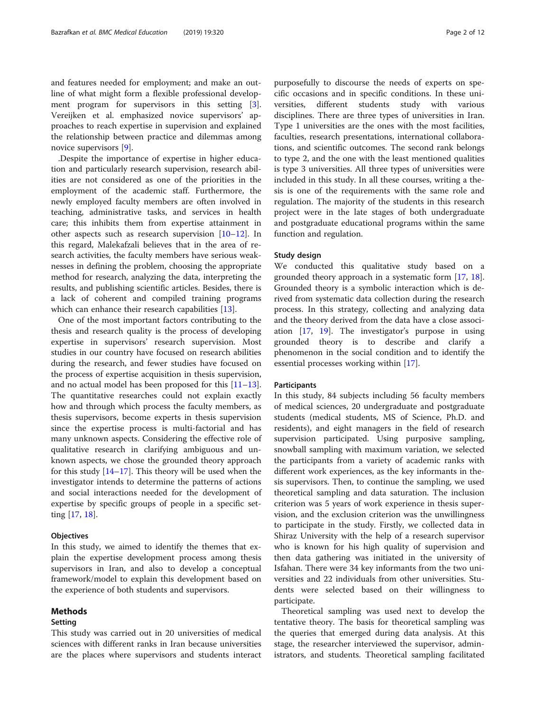and features needed for employment; and make an outline of what might form a flexible professional development program for supervisors in this setting [\[3](#page-11-0)]. Vereijken et al. emphasized novice supervisors' approaches to reach expertise in supervision and explained the relationship between practice and dilemmas among novice supervisors [[9\]](#page-11-0).

.Despite the importance of expertise in higher education and particularly research supervision, research abilities are not considered as one of the priorities in the employment of the academic staff. Furthermore, the newly employed faculty members are often involved in teaching, administrative tasks, and services in health care; this inhibits them from expertise attainment in other aspects such as research supervision [\[10](#page-11-0)–[12\]](#page-11-0). In this regard, Malekafzali believes that in the area of research activities, the faculty members have serious weaknesses in defining the problem, choosing the appropriate method for research, analyzing the data, interpreting the results, and publishing scientific articles. Besides, there is a lack of coherent and compiled training programs which can enhance their research capabilities [\[13](#page-11-0)].

One of the most important factors contributing to the thesis and research quality is the process of developing expertise in supervisors' research supervision. Most studies in our country have focused on research abilities during the research, and fewer studies have focused on the process of expertise acquisition in thesis supervision, and no actual model has been proposed for this  $[11-13]$  $[11-13]$  $[11-13]$  $[11-13]$  $[11-13]$ . The quantitative researches could not explain exactly how and through which process the faculty members, as thesis supervisors, become experts in thesis supervision since the expertise process is multi-factorial and has many unknown aspects. Considering the effective role of qualitative research in clarifying ambiguous and unknown aspects, we chose the grounded theory approach for this study [\[14](#page-11-0)–[17\]](#page-11-0). This theory will be used when the investigator intends to determine the patterns of actions and social interactions needed for the development of expertise by specific groups of people in a specific setting [[17](#page-11-0), [18](#page-11-0)].

#### **Objectives**

In this study, we aimed to identify the themes that explain the expertise development process among thesis supervisors in Iran, and also to develop a conceptual framework/model to explain this development based on the experience of both students and supervisors.

## Methods

#### Setting

This study was carried out in 20 universities of medical sciences with different ranks in Iran because universities are the places where supervisors and students interact

purposefully to discourse the needs of experts on specific occasions and in specific conditions. In these universities, different students study with various disciplines. There are three types of universities in Iran. Type 1 universities are the ones with the most facilities, faculties, research presentations, international collaborations, and scientific outcomes. The second rank belongs to type 2, and the one with the least mentioned qualities is type 3 universities. All three types of universities were included in this study. In all these courses, writing a thesis is one of the requirements with the same role and regulation. The majority of the students in this research project were in the late stages of both undergraduate and postgraduate educational programs within the same function and regulation.

#### Study design

We conducted this qualitative study based on a grounded theory approach in a systematic form [\[17,](#page-11-0) [18](#page-11-0)]. Grounded theory is a symbolic interaction which is derived from systematic data collection during the research process. In this strategy, collecting and analyzing data and the theory derived from the data have a close association [[17,](#page-11-0) [19\]](#page-11-0). The investigator's purpose in using grounded theory is to describe and clarify a phenomenon in the social condition and to identify the essential processes working within [[17\]](#page-11-0).

#### **Participants**

In this study, 84 subjects including 56 faculty members of medical sciences, 20 undergraduate and postgraduate students (medical students, MS of Science, Ph.D. and residents), and eight managers in the field of research supervision participated. Using purposive sampling, snowball sampling with maximum variation, we selected the participants from a variety of academic ranks with different work experiences, as the key informants in thesis supervisors. Then, to continue the sampling, we used theoretical sampling and data saturation. The inclusion criterion was 5 years of work experience in thesis supervision, and the exclusion criterion was the unwillingness to participate in the study. Firstly, we collected data in Shiraz University with the help of a research supervisor who is known for his high quality of supervision and then data gathering was initiated in the university of Isfahan. There were 34 key informants from the two universities and 22 individuals from other universities. Students were selected based on their willingness to participate.

Theoretical sampling was used next to develop the tentative theory. The basis for theoretical sampling was the queries that emerged during data analysis. At this stage, the researcher interviewed the supervisor, administrators, and students. Theoretical sampling facilitated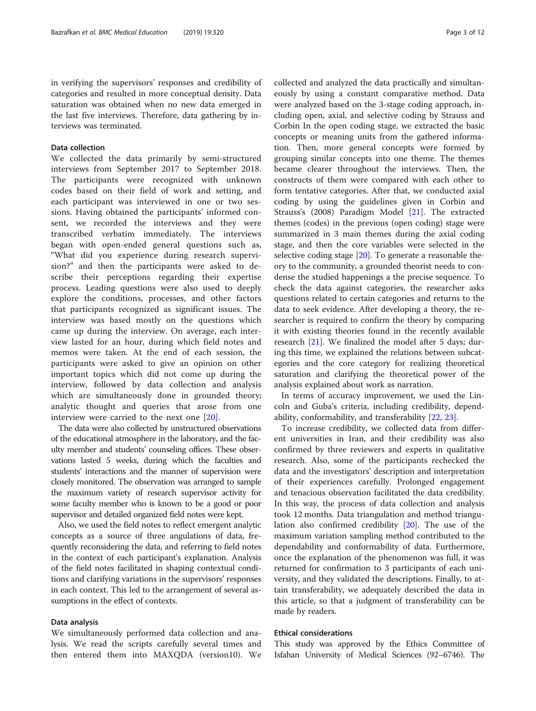in verifying the supervisors' responses and credibility of categories and resulted in more conceptual density. Data saturation was obtained when no new data emerged in the last five interviews. Therefore, data gathering by interviews was terminated.

## Data collection

We collected the data primarily by semi-structured interviews from September 2017 to September 2018. The participants were recognized with unknown codes based on their field of work and setting, and each participant was interviewed in one or two sessions. Having obtained the participants' informed consent, we recorded the interviews and they were transcribed verbatim immediately. The interviews began with open-ended general questions such as, "What did you experience during research supervision?" and then the participants were asked to describe their perceptions regarding their expertise process. Leading questions were also used to deeply explore the conditions, processes, and other factors that participants recognized as significant issues. The interview was based mostly on the questions which came up during the interview. On average, each interview lasted for an hour, during which field notes and memos were taken. At the end of each session, the participants were asked to give an opinion on other important topics which did not come up during the interview, followed by data collection and analysis which are simultaneously done in grounded theory; analytic thought and queries that arose from one interview were carried to the next one [\[20](#page-11-0)].

The data were also collected by unstructured observations of the educational atmosphere in the laboratory, and the faculty member and students' counseling offices. These observations lasted 5 weeks, during which the faculties and students' interactions and the manner of supervision were closely monitored. The observation was arranged to sample the maximum variety of research supervisor activity for some faculty member who is known to be a good or poor supervisor and detailed organized field notes were kept.

Also, we used the field notes to reflect emergent analytic concepts as a source of three angulations of data, frequently reconsidering the data, and referring to field notes in the context of each participant's explanation. Analysis of the field notes facilitated in shaping contextual conditions and clarifying variations in the supervisors' responses in each context. This led to the arrangement of several assumptions in the effect of contexts.

### Data analysis

We simultaneously performed data collection and analysis. We read the scripts carefully several times and then entered them into MAXQDA (version10). We

collected and analyzed the data practically and simultaneously by using a constant comparative method. Data were analyzed based on the 3-stage coding approach, including open, axial, and selective coding by Strauss and Corbin In the open coding stage, we extracted the basic concepts or meaning units from the gathered information. Then, more general concepts were formed by grouping similar concepts into one theme. The themes became clearer throughout the interviews. Then, the constructs of them were compared with each other to form tentative categories. After that, we conducted axial coding by using the guidelines given in Corbin and Strauss's (2008) Paradigm Model [[21](#page-11-0)]. The extracted themes (codes) in the previous (open coding) stage were summarized in 3 main themes during the axial coding stage, and then the core variables were selected in the selective coding stage [[20](#page-11-0)]. To generate a reasonable theory to the community, a grounded theorist needs to condense the studied happenings a the precise sequence. To check the data against categories, the researcher asks questions related to certain categories and returns to the data to seek evidence. After developing a theory, the researcher is required to confirm the theory by comparing it with existing theories found in the recently available research [[21](#page-11-0)]. We finalized the model after 5 days; during this time, we explained the relations between subcategories and the core category for realizing theoretical saturation and clarifying the theoretical power of the analysis explained about work as narration.

In terms of accuracy improvement, we used the Lincoln and Guba's criteria, including credibility, dependability, conformability, and transferability [\[22](#page-11-0), [23](#page-11-0)].

To increase credibility, we collected data from different universities in Iran, and their credibility was also confirmed by three reviewers and experts in qualitative research. Also, some of the participants rechecked the data and the investigators' description and interpretation of their experiences carefully. Prolonged engagement and tenacious observation facilitated the data credibility. In this way, the process of data collection and analysis took 12 months. Data triangulation and method triangulation also confirmed credibility [\[20\]](#page-11-0). The use of the maximum variation sampling method contributed to the dependability and conformability of data. Furthermore, once the explanation of the phenomenon was full, it was returned for confirmation to 3 participants of each university, and they validated the descriptions. Finally, to attain transferability, we adequately described the data in this article, so that a judgment of transferability can be made by readers.

## Ethical considerations

This study was approved by the Ethics Committee of Isfahan University of Medical Sciences (92–6746). The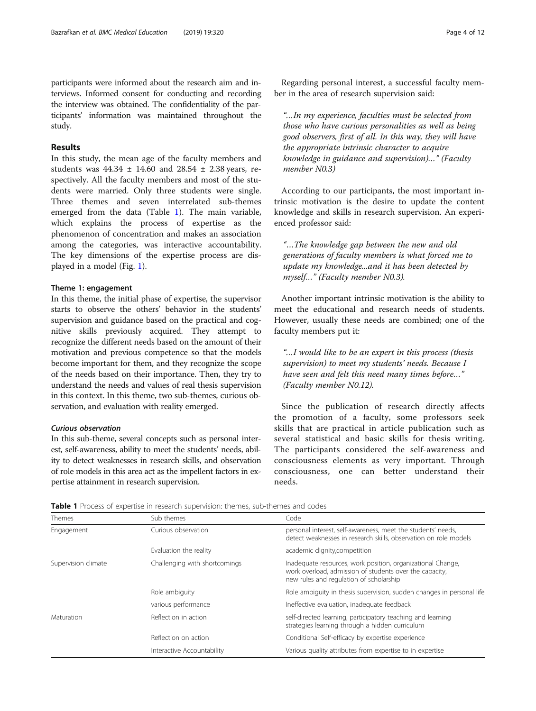Bazrafkan et al. BMC Medical Education (2019) 19:320

participants were informed about the research aim and interviews. Informed consent for conducting and recording the interview was obtained. The confidentiality of the participants' information was maintained throughout the study.

## Results

In this study, the mean age of the faculty members and students was  $44.34 \pm 14.60$  and  $28.54 \pm 2.38$  years, respectively. All the faculty members and most of the students were married. Only three students were single. Three themes and seven interrelated sub-themes emerged from the data (Table 1). The main variable, which explains the process of expertise as the phenomenon of concentration and makes an association among the categories, was interactive accountability. The key dimensions of the expertise process are displayed in a model (Fig. [1\)](#page-4-0).

## Theme 1: engagement

In this theme, the initial phase of expertise, the supervisor starts to observe the others' behavior in the students' supervision and guidance based on the practical and cognitive skills previously acquired. They attempt to recognize the different needs based on the amount of their motivation and previous competence so that the models become important for them, and they recognize the scope of the needs based on their importance. Then, they try to understand the needs and values of real thesis supervision in this context. In this theme, two sub-themes, curious observation, and evaluation with reality emerged.

## Curious observation

In this sub-theme, several concepts such as personal interest, self-awareness, ability to meet the students' needs, ability to detect weaknesses in research skills, and observation of role models in this area act as the impellent factors in expertise attainment in research supervision.

Regarding personal interest, a successful faculty member in the area of research supervision said:

"…In my experience, faculties must be selected from those who have curious personalities as well as being good observers, first of all. In this way, they will have the appropriate intrinsic character to acquire knowledge in guidance and supervision)…" (Faculty member N0.3)

According to our participants, the most important intrinsic motivation is the desire to update the content knowledge and skills in research supervision. An experienced professor said:

"…The knowledge gap between the new and old generations of faculty members is what forced me to update my knowledge...and it has been detected by myself…" (Faculty member N0.3).

Another important intrinsic motivation is the ability to meet the educational and research needs of students. However, usually these needs are combined; one of the faculty members put it:

"…I would like to be an expert in this process (thesis supervision) to meet my students' needs. Because I have seen and felt this need many times before…" (Faculty member N0.12).

Since the publication of research directly affects the promotion of a faculty, some professors seek skills that are practical in article publication such as several statistical and basic skills for thesis writing. The participants considered the self-awareness and consciousness elements as very important. Through consciousness, one can better understand their needs.

| <b>Table 1</b> Process of expertise in research supervision: themes, sub-themes and codes |  |
|-------------------------------------------------------------------------------------------|--|
|-------------------------------------------------------------------------------------------|--|

| Themes              | Sub themes                    | Code                                                                                                                                                              |
|---------------------|-------------------------------|-------------------------------------------------------------------------------------------------------------------------------------------------------------------|
| Engagement          | Curious observation           | personal interest, self-awareness, meet the students' needs,<br>detect weaknesses in research skills, observation on role models                                  |
|                     | Evaluation the reality        | academic dignity, competition                                                                                                                                     |
| Supervision climate | Challenging with shortcomings | Inadequate resources, work position, organizational Change,<br>work overload, admission of students over the capacity,<br>new rules and regulation of scholarship |
|                     | Role ambiguity                | Role ambiguity in thesis supervision, sudden changes in personal life                                                                                             |
|                     | various performance           | Ineffective evaluation, inadequate feedback                                                                                                                       |
| Maturation          | Reflection in action          | self-directed learning, participatory teaching and learning<br>strategies learning through a hidden curriculum                                                    |
|                     | Reflection on action          | Conditional Self-efficacy by expertise experience                                                                                                                 |
|                     | Interactive Accountability    | Various quality attributes from expertise to in expertise                                                                                                         |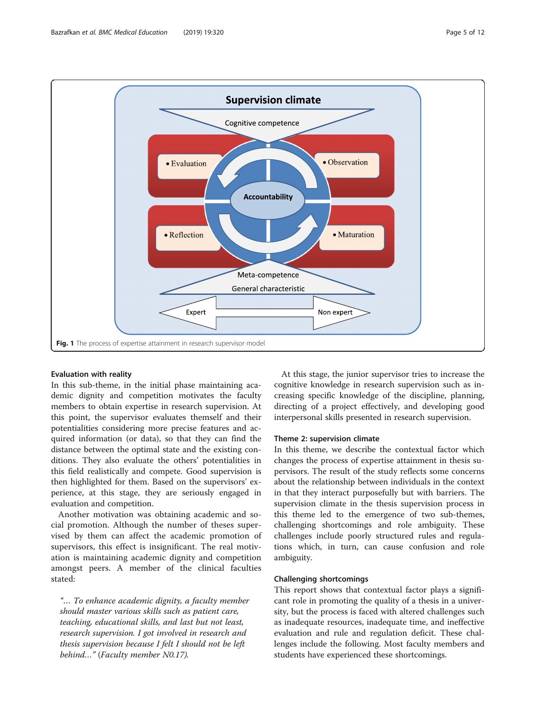<span id="page-4-0"></span>

#### Evaluation with reality

In this sub-theme, in the initial phase maintaining academic dignity and competition motivates the faculty members to obtain expertise in research supervision. At this point, the supervisor evaluates themself and their potentialities considering more precise features and acquired information (or data), so that they can find the distance between the optimal state and the existing conditions. They also evaluate the others' potentialities in this field realistically and compete. Good supervision is then highlighted for them. Based on the supervisors' experience, at this stage, they are seriously engaged in evaluation and competition.

Another motivation was obtaining academic and social promotion. Although the number of theses supervised by them can affect the academic promotion of supervisors, this effect is insignificant. The real motivation is maintaining academic dignity and competition amongst peers. A member of the clinical faculties stated:

"… To enhance academic dignity, a faculty member should master various skills such as patient care, teaching, educational skills, and last but not least, research supervision. I got involved in research and thesis supervision because I felt I should not be left behind…" (Faculty member N0.17).

At this stage, the junior supervisor tries to increase the cognitive knowledge in research supervision such as increasing specific knowledge of the discipline, planning, directing of a project effectively, and developing good interpersonal skills presented in research supervision.

#### Theme 2: supervision climate

In this theme, we describe the contextual factor which changes the process of expertise attainment in thesis supervisors. The result of the study reflects some concerns about the relationship between individuals in the context in that they interact purposefully but with barriers. The supervision climate in the thesis supervision process in this theme led to the emergence of two sub-themes, challenging shortcomings and role ambiguity. These challenges include poorly structured rules and regulations which, in turn, can cause confusion and role ambiguity.

## Challenging shortcomings

This report shows that contextual factor plays a significant role in promoting the quality of a thesis in a university, but the process is faced with altered challenges such as inadequate resources, inadequate time, and ineffective evaluation and rule and regulation deficit. These challenges include the following. Most faculty members and students have experienced these shortcomings.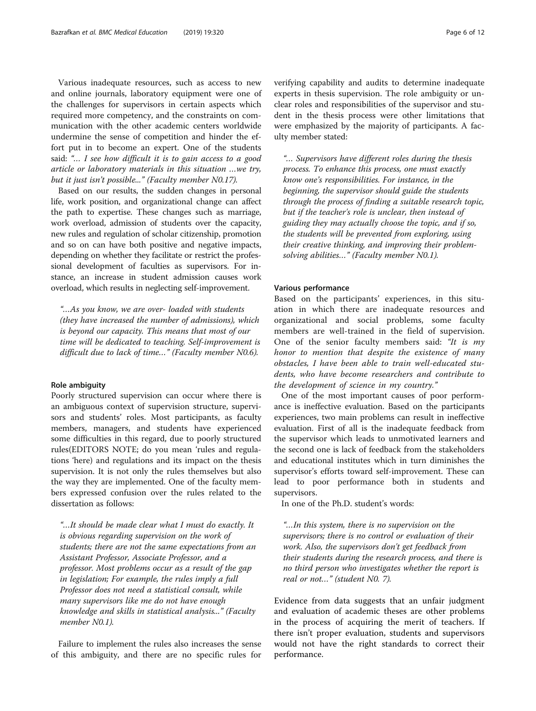Various inadequate resources, such as access to new and online journals, laboratory equipment were one of the challenges for supervisors in certain aspects which required more competency, and the constraints on communication with the other academic centers worldwide undermine the sense of competition and hinder the effort put in to become an expert. One of the students said: "… I see how difficult it is to gain access to a good article or laboratory materials in this situation …we try, but it just isn't possible..." (Faculty member N0.17).

Based on our results, the sudden changes in personal life, work position, and organizational change can affect the path to expertise. These changes such as marriage, work overload, admission of students over the capacity, new rules and regulation of scholar citizenship, promotion and so on can have both positive and negative impacts, depending on whether they facilitate or restrict the professional development of faculties as supervisors. For instance, an increase in student admission causes work overload, which results in neglecting self-improvement.

"…As you know, we are over- loaded with students (they have increased the number of admissions), which is beyond our capacity. This means that most of our time will be dedicated to teaching. Self-improvement is difficult due to lack of time…" (Faculty member N0.6).

## Role ambiguity

Poorly structured supervision can occur where there is an ambiguous context of supervision structure, supervisors and students' roles. Most participants, as faculty members, managers, and students have experienced some difficulties in this regard, due to poorly structured rules(EDITORS NOTE; do you mean 'rules and regulations 'here) and regulations and its impact on the thesis supervision. It is not only the rules themselves but also the way they are implemented. One of the faculty members expressed confusion over the rules related to the dissertation as follows:

"…It should be made clear what I must do exactly. It is obvious regarding supervision on the work of students; there are not the same expectations from an Assistant Professor, Associate Professor, and a professor. Most problems occur as a result of the gap in legislation; For example, the rules imply a full Professor does not need a statistical consult, while many supervisors like me do not have enough knowledge and skills in statistical analysis..." (Faculty member N0.1).

Failure to implement the rules also increases the sense of this ambiguity, and there are no specific rules for verifying capability and audits to determine inadequate experts in thesis supervision. The role ambiguity or unclear roles and responsibilities of the supervisor and student in the thesis process were other limitations that were emphasized by the majority of participants. A faculty member stated:

"… Supervisors have different roles during the thesis process. To enhance this process, one must exactly know one's responsibilities. For instance, in the beginning, the supervisor should guide the students through the process of finding a suitable research topic, but if the teacher's role is unclear, then instead of guiding they may actually choose the topic, and if so, the students will be prevented from exploring, using their creative thinking, and improving their problemsolving abilities..." (Faculty member N0.1).

#### Various performance

Based on the participants' experiences, in this situation in which there are inadequate resources and organizational and social problems, some faculty members are well-trained in the field of supervision. One of the senior faculty members said: "It is my honor to mention that despite the existence of many obstacles, I have been able to train well-educated students, who have become researchers and contribute to the development of science in my country."

One of the most important causes of poor performance is ineffective evaluation. Based on the participants experiences, two main problems can result in ineffective evaluation. First of all is the inadequate feedback from the supervisor which leads to unmotivated learners and the second one is lack of feedback from the stakeholders and educational institutes which in turn diminishes the supervisor's efforts toward self-improvement. These can lead to poor performance both in students and supervisors.

In one of the Ph.D. student's words:

"…In this system, there is no supervision on the supervisors; there is no control or evaluation of their work. Also, the supervisors don't get feedback from their students during the research process, and there is no third person who investigates whether the report is real or not…" (student N0. 7).

Evidence from data suggests that an unfair judgment and evaluation of academic theses are other problems in the process of acquiring the merit of teachers. If there isn't proper evaluation, students and supervisors would not have the right standards to correct their performance.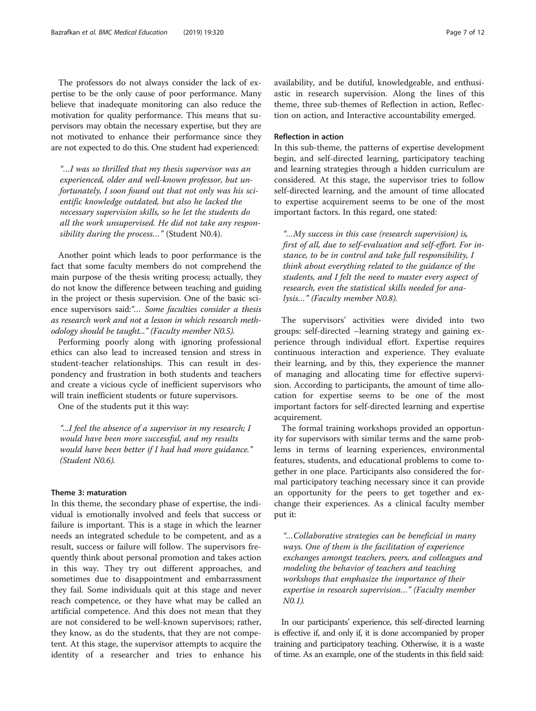The professors do not always consider the lack of expertise to be the only cause of poor performance. Many believe that inadequate monitoring can also reduce the motivation for quality performance. This means that supervisors may obtain the necessary expertise, but they are not motivated to enhance their performance since they are not expected to do this. One student had experienced:

"…I was so thrilled that my thesis supervisor was an experienced, older and well-known professor, but unfortunately, I soon found out that not only was his scientific knowledge outdated, but also he lacked the necessary supervision skills, so he let the students do all the work unsupervised. He did not take any responsibility during the process..." (Student N0.4).

Another point which leads to poor performance is the fact that some faculty members do not comprehend the main purpose of the thesis writing process; actually, they do not know the difference between teaching and guiding in the project or thesis supervision. One of the basic science supervisors said:"… Some faculties consider a thesis as research work and not a lesson in which research methodology should be taught..." (Faculty member N0.5).

Performing poorly along with ignoring professional ethics can also lead to increased tension and stress in student-teacher relationships. This can result in despondency and frustration in both students and teachers and create a vicious cycle of inefficient supervisors who will train inefficient students or future supervisors.

One of the students put it this way:

"...I feel the absence of a supervisor in my research; I would have been more successful, and my results would have been better if I had had more guidance." (Student N0.6).

#### Theme 3: maturation

In this theme, the secondary phase of expertise, the individual is emotionally involved and feels that success or failure is important. This is a stage in which the learner needs an integrated schedule to be competent, and as a result, success or failure will follow. The supervisors frequently think about personal promotion and takes action in this way. They try out different approaches, and sometimes due to disappointment and embarrassment they fail. Some individuals quit at this stage and never reach competence, or they have what may be called an artificial competence. And this does not mean that they are not considered to be well-known supervisors; rather, they know, as do the students, that they are not competent. At this stage, the supervisor attempts to acquire the identity of a researcher and tries to enhance his availability, and be dutiful, knowledgeable, and enthusiastic in research supervision. Along the lines of this theme, three sub-themes of Reflection in action, Reflection on action, and Interactive accountability emerged.

#### Reflection in action

In this sub-theme, the patterns of expertise development begin, and self-directed learning, participatory teaching and learning strategies through a hidden curriculum are considered. At this stage, the supervisor tries to follow self-directed learning, and the amount of time allocated to expertise acquirement seems to be one of the most important factors. In this regard, one stated:

"…My success in this case (research supervision) is, first of all, due to self-evaluation and self-effort. For instance, to be in control and take full responsibility, I think about everything related to the guidance of the students, and I felt the need to master every aspect of research, even the statistical skills needed for analysis…" (Faculty member N0.8).

The supervisors' activities were divided into two groups: self-directed –learning strategy and gaining experience through individual effort. Expertise requires continuous interaction and experience. They evaluate their learning, and by this, they experience the manner of managing and allocating time for effective supervision. According to participants, the amount of time allocation for expertise seems to be one of the most important factors for self-directed learning and expertise acquirement.

The formal training workshops provided an opportunity for supervisors with similar terms and the same problems in terms of learning experiences, environmental features, students, and educational problems to come together in one place. Participants also considered the formal participatory teaching necessary since it can provide an opportunity for the peers to get together and exchange their experiences. As a clinical faculty member put it:

"…Collaborative strategies can be beneficial in many ways. One of them is the facilitation of experience exchanges amongst teachers, peers, and colleagues and modeling the behavior of teachers and teaching workshops that emphasize the importance of their expertise in research supervision…" (Faculty member N0.1).

In our participants' experience, this self-directed learning is effective if, and only if, it is done accompanied by proper training and participatory teaching. Otherwise, it is a waste of time. As an example, one of the students in this field said: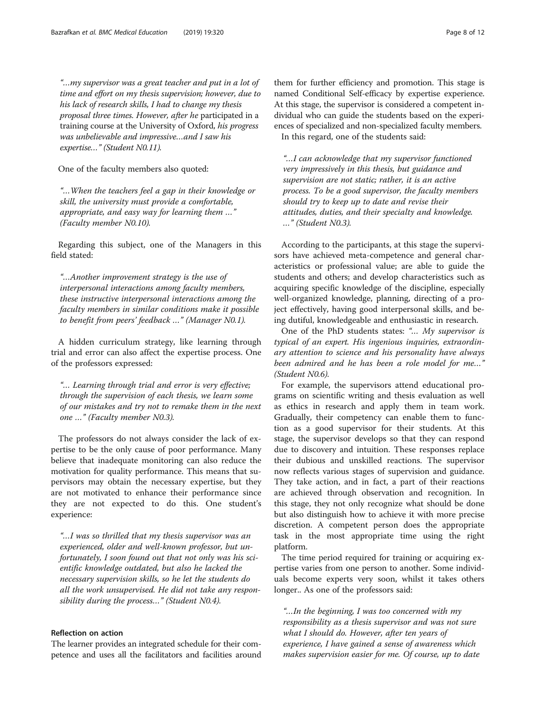"…my supervisor was a great teacher and put in a lot of time and effort on my thesis supervision; however, due to his lack of research skills, I had to change my thesis proposal three times. However, after he participated in a training course at the University of Oxford, his progress was unbelievable and impressive…and I saw his expertise…" (Student N0.11).

One of the faculty members also quoted:

"…When the teachers feel a gap in their knowledge or skill, the university must provide a comfortable, appropriate, and easy way for learning them …" (Faculty member N0.10).

Regarding this subject, one of the Managers in this field stated:

"…Another improvement strategy is the use of interpersonal interactions among faculty members, these instructive interpersonal interactions among the faculty members in similar conditions make it possible to benefit from peers' feedback …" (Manager N0.1).

A hidden curriculum strategy, like learning through trial and error can also affect the expertise process. One of the professors expressed:

"… Learning through trial and error is very effective; through the supervision of each thesis, we learn some of our mistakes and try not to remake them in the next one …" (Faculty member N0.3).

The professors do not always consider the lack of expertise to be the only cause of poor performance. Many believe that inadequate monitoring can also reduce the motivation for quality performance. This means that supervisors may obtain the necessary expertise, but they are not motivated to enhance their performance since they are not expected to do this. One student's experience:

"…I was so thrilled that my thesis supervisor was an experienced, older and well-known professor, but unfortunately, I soon found out that not only was his scientific knowledge outdated, but also he lacked the necessary supervision skills, so he let the students do all the work unsupervised. He did not take any responsibility during the process..." (Student N0.4).

## Reflection on action

The learner provides an integrated schedule for their competence and uses all the facilitators and facilities around them for further efficiency and promotion. This stage is named Conditional Self-efficacy by expertise experience. At this stage, the supervisor is considered a competent individual who can guide the students based on the experiences of specialized and non-specialized faculty members. In this regard, one of the students said:

"…I can acknowledge that my supervisor functioned very impressively in this thesis, but guidance and supervision are not static; rather, it is an active process. To be a good supervisor, the faculty members should try to keep up to date and revise their attitudes, duties, and their specialty and knowledge. …" (Student N0.3).

According to the participants, at this stage the supervisors have achieved meta-competence and general characteristics or professional value; are able to guide the students and others; and develop characteristics such as acquiring specific knowledge of the discipline, especially well-organized knowledge, planning, directing of a project effectively, having good interpersonal skills, and being dutiful, knowledgeable and enthusiastic in research.

One of the PhD students states: "… My supervisor is typical of an expert. His ingenious inquiries, extraordinary attention to science and his personality have always been admired and he has been a role model for me…" (Student N0.6).

For example, the supervisors attend educational programs on scientific writing and thesis evaluation as well as ethics in research and apply them in team work. Gradually, their competency can enable them to function as a good supervisor for their students. At this stage, the supervisor develops so that they can respond due to discovery and intuition. These responses replace their dubious and unskilled reactions. The supervisor now reflects various stages of supervision and guidance. They take action, and in fact, a part of their reactions are achieved through observation and recognition. In this stage, they not only recognize what should be done but also distinguish how to achieve it with more precise discretion. A competent person does the appropriate task in the most appropriate time using the right platform.

The time period required for training or acquiring expertise varies from one person to another. Some individuals become experts very soon, whilst it takes others longer.. As one of the professors said:

"…In the beginning, I was too concerned with my responsibility as a thesis supervisor and was not sure what I should do. However, after ten years of experience, I have gained a sense of awareness which makes supervision easier for me. Of course, up to date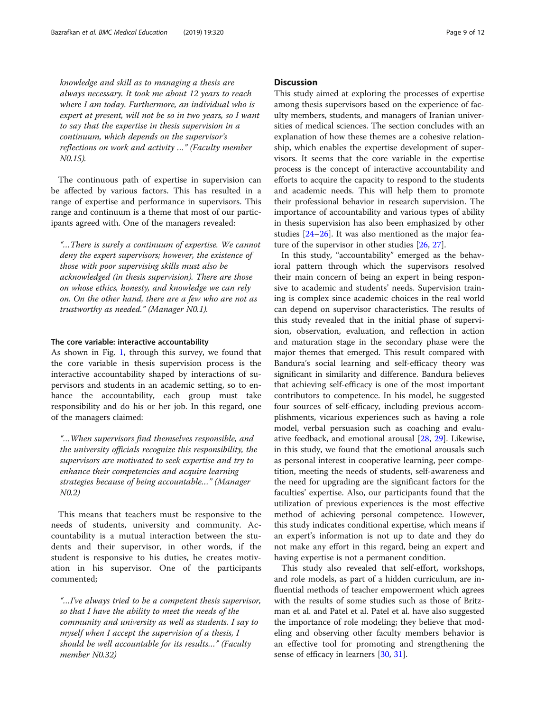knowledge and skill as to managing a thesis are always necessary. It took me about 12 years to reach where I am today. Furthermore, an individual who is expert at present, will not be so in two years, so I want to say that the expertise in thesis supervision in a continuum, which depends on the supervisor's reflections on work and activity …" (Faculty member N0.15).

The continuous path of expertise in supervision can be affected by various factors. This has resulted in a range of expertise and performance in supervisors. This range and continuum is a theme that most of our participants agreed with. One of the managers revealed:

"…There is surely a continuum of expertise. We cannot deny the expert supervisors; however, the existence of those with poor supervising skills must also be acknowledged (in thesis supervision). There are those on whose ethics, honesty, and knowledge we can rely on. On the other hand, there are a few who are not as trustworthy as needed." (Manager N0.1).

#### The core variable: interactive accountability

As shown in Fig. [1](#page-4-0), through this survey, we found that the core variable in thesis supervision process is the interactive accountability shaped by interactions of supervisors and students in an academic setting, so to enhance the accountability, each group must take responsibility and do his or her job. In this regard, one of the managers claimed:

"…When supervisors find themselves responsible, and the university officials recognize this responsibility, the supervisors are motivated to seek expertise and try to enhance their competencies and acquire learning strategies because of being accountable…" (Manager N0.2)

This means that teachers must be responsive to the needs of students, university and community. Accountability is a mutual interaction between the students and their supervisor, in other words, if the student is responsive to his duties, he creates motivation in his supervisor. One of the participants commented;

"…I've always tried to be a competent thesis supervisor, so that I have the ability to meet the needs of the community and university as well as students. I say to myself when I accept the supervision of a thesis, I should be well accountable for its results…" (Faculty member N0.32)

## **Discussion**

This study aimed at exploring the processes of expertise among thesis supervisors based on the experience of faculty members, students, and managers of Iranian universities of medical sciences. The section concludes with an explanation of how these themes are a cohesive relationship, which enables the expertise development of supervisors. It seems that the core variable in the expertise process is the concept of interactive accountability and efforts to acquire the capacity to respond to the students and academic needs. This will help them to promote their professional behavior in research supervision. The importance of accountability and various types of ability in thesis supervision has also been emphasized by other studies [\[24](#page-11-0)–[26](#page-11-0)]. It was also mentioned as the major feature of the supervisor in other studies [[26,](#page-11-0) [27\]](#page-11-0).

In this study, "accountability" emerged as the behavioral pattern through which the supervisors resolved their main concern of being an expert in being responsive to academic and students' needs. Supervision training is complex since academic choices in the real world can depend on supervisor characteristics. The results of this study revealed that in the initial phase of supervision, observation, evaluation, and reflection in action and maturation stage in the secondary phase were the major themes that emerged. This result compared with Bandura's social learning and self-efficacy theory was significant in similarity and difference. Bandura believes that achieving self-efficacy is one of the most important contributors to competence. In his model, he suggested four sources of self-efficacy, including previous accomplishments, vicarious experiences such as having a role model, verbal persuasion such as coaching and evaluative feedback, and emotional arousal [\[28](#page-11-0), [29\]](#page-11-0). Likewise, in this study, we found that the emotional arousals such as personal interest in cooperative learning, peer competition, meeting the needs of students, self-awareness and the need for upgrading are the significant factors for the faculties' expertise. Also, our participants found that the utilization of previous experiences is the most effective method of achieving personal competence. However, this study indicates conditional expertise, which means if an expert's information is not up to date and they do not make any effort in this regard, being an expert and having expertise is not a permanent condition.

This study also revealed that self-effort, workshops, and role models, as part of a hidden curriculum, are influential methods of teacher empowerment which agrees with the results of some studies such as those of Britzman et al. and Patel et al. Patel et al. have also suggested the importance of role modeling; they believe that modeling and observing other faculty members behavior is an effective tool for promoting and strengthening the sense of efficacy in learners [[30,](#page-11-0) [31\]](#page-11-0).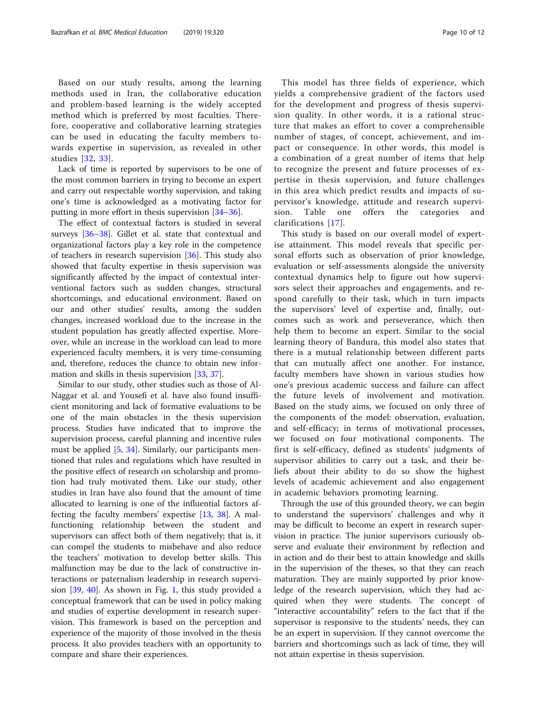Based on our study results, among the learning methods used in Iran, the collaborative education and problem-based learning is the widely accepted method which is preferred by most faculties. Therefore, cooperative and collaborative learning strategies can be used in educating the faculty members towards expertise in supervision, as revealed in other studies [[32,](#page-11-0) [33](#page-11-0)].

Lack of time is reported by supervisors to be one of the most common barriers in trying to become an expert and carry out respectable worthy supervision, and taking one's time is acknowledged as a motivating factor for putting in more effort in thesis supervision [[34](#page-11-0)–[36](#page-11-0)].

The effect of contextual factors is studied in several surveys [\[36](#page-11-0)–[38](#page-11-0)]. Gillet et al. state that contextual and organizational factors play a key role in the competence of teachers in research supervision [\[36](#page-11-0)]. This study also showed that faculty expertise in thesis supervision was significantly affected by the impact of contextual interventional factors such as sudden changes, structural shortcomings, and educational environment. Based on our and other studies' results, among the sudden changes, increased workload due to the increase in the student population has greatly affected expertise. Moreover, while an increase in the workload can lead to more experienced faculty members, it is very time-consuming and, therefore, reduces the chance to obtain new information and skills in thesis supervision [[33,](#page-11-0) [37\]](#page-11-0).

Similar to our study, other studies such as those of Al-Naggar et al. and Yousefi et al. have also found insufficient monitoring and lack of formative evaluations to be one of the main obstacles in the thesis supervision process. Studies have indicated that to improve the supervision process, careful planning and incentive rules must be applied [[5,](#page-11-0) [34\]](#page-11-0). Similarly, our participants mentioned that rules and regulations which have resulted in the positive effect of research on scholarship and promotion had truly motivated them. Like our study, other studies in Iran have also found that the amount of time allocated to learning is one of the influential factors affecting the faculty members' expertise [[13,](#page-11-0) [38\]](#page-11-0). A malfunctioning relationship between the student and supervisors can affect both of them negatively; that is, it can compel the students to misbehave and also reduce the teachers' motivation to develop better skills. This malfunction may be due to the lack of constructive interactions or paternalism leadership in research supervision [[39](#page-11-0), [40](#page-11-0)]. As shown in Fig. [1,](#page-4-0) this study provided a conceptual framework that can be used in policy making and studies of expertise development in research supervision. This framework is based on the perception and experience of the majority of those involved in the thesis process. It also provides teachers with an opportunity to compare and share their experiences.

This model has three fields of experience, which yields a comprehensive gradient of the factors used for the development and progress of thesis supervision quality. In other words, it is a rational structure that makes an effort to cover a comprehensible number of stages, of concept, achievement, and impact or consequence. In other words, this model is a combination of a great number of items that help to recognize the present and future processes of expertise in thesis supervision, and future challenges in this area which predict results and impacts of supervisor's knowledge, attitude and research supervision. Table one offers the categories and clarifications [\[17\]](#page-11-0).

This study is based on our overall model of expertise attainment. This model reveals that specific personal efforts such as observation of prior knowledge, evaluation or self-assessments alongside the university contextual dynamics help to figure out how supervisors select their approaches and engagements, and respond carefully to their task, which in turn impacts the supervisors' level of expertise and, finally, outcomes such as work and perseverance, which then help them to become an expert. Similar to the social learning theory of Bandura, this model also states that there is a mutual relationship between different parts that can mutually affect one another. For instance, faculty members have shown in various studies how one's previous academic success and failure can affect the future levels of involvement and motivation. Based on the study aims, we focused on only three of the components of the model: observation, evaluation, and self-efficacy; in terms of motivational processes, we focused on four motivational components. The first is self-efficacy, defined as students' judgments of supervisor abilities to carry out a task, and their beliefs about their ability to do so show the highest levels of academic achievement and also engagement in academic behaviors promoting learning.

Through the use of this grounded theory, we can begin to understand the supervisors' challenges and why it may be difficult to become an expert in research supervision in practice. The junior supervisors curiously observe and evaluate their environment by reflection and in action and do their best to attain knowledge and skills in the supervision of the theses, so that they can reach maturation. They are mainly supported by prior knowledge of the research supervision, which they had acquired when they were students. The concept of "interactive accountability" refers to the fact that if the supervisor is responsive to the students' needs, they can be an expert in supervision. If they cannot overcome the barriers and shortcomings such as lack of time, they will not attain expertise in thesis supervision.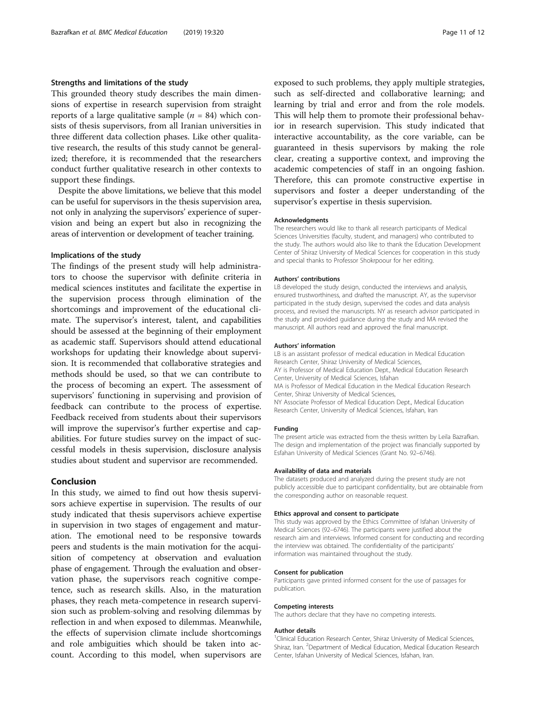## Strengths and limitations of the study

This grounded theory study describes the main dimensions of expertise in research supervision from straight reports of a large qualitative sample  $(n = 84)$  which consists of thesis supervisors, from all Iranian universities in three different data collection phases. Like other qualitative research, the results of this study cannot be generalized; therefore, it is recommended that the researchers conduct further qualitative research in other contexts to support these findings.

Despite the above limitations, we believe that this model can be useful for supervisors in the thesis supervision area, not only in analyzing the supervisors' experience of supervision and being an expert but also in recognizing the areas of intervention or development of teacher training.

#### Implications of the study

The findings of the present study will help administrators to choose the supervisor with definite criteria in medical sciences institutes and facilitate the expertise in the supervision process through elimination of the shortcomings and improvement of the educational climate. The supervisor's interest, talent, and capabilities should be assessed at the beginning of their employment as academic staff. Supervisors should attend educational workshops for updating their knowledge about supervision. It is recommended that collaborative strategies and methods should be used, so that we can contribute to the process of becoming an expert. The assessment of supervisors' functioning in supervising and provision of feedback can contribute to the process of expertise. Feedback received from students about their supervisors will improve the supervisor's further expertise and capabilities. For future studies survey on the impact of successful models in thesis supervision, disclosure analysis studies about student and supervisor are recommended.

## Conclusion

In this study, we aimed to find out how thesis supervisors achieve expertise in supervision. The results of our study indicated that thesis supervisors achieve expertise in supervision in two stages of engagement and maturation. The emotional need to be responsive towards peers and students is the main motivation for the acquisition of competency at observation and evaluation phase of engagement. Through the evaluation and observation phase, the supervisors reach cognitive competence, such as research skills. Also, in the maturation phases, they reach meta-competence in research supervision such as problem-solving and resolving dilemmas by reflection in and when exposed to dilemmas. Meanwhile, the effects of supervision climate include shortcomings and role ambiguities which should be taken into account. According to this model, when supervisors are

exposed to such problems, they apply multiple strategies, such as self-directed and collaborative learning; and learning by trial and error and from the role models. This will help them to promote their professional behavior in research supervision. This study indicated that interactive accountability, as the core variable, can be guaranteed in thesis supervisors by making the role clear, creating a supportive context, and improving the academic competencies of staff in an ongoing fashion. Therefore, this can promote constructive expertise in supervisors and foster a deeper understanding of the supervisor's expertise in thesis supervision.

#### Acknowledgments

The researchers would like to thank all research participants of Medical Sciences Universities (faculty, student, and managers) who contributed to the study. The authors would also like to thank the Education Development Center of Shiraz University of Medical Sciences for cooperation in this study and special thanks to Professor Shokrpoour for her editing.

#### Authors' contributions

LB developed the study design, conducted the interviews and analysis, ensured trustworthiness, and drafted the manuscript. AY, as the supervisor participated in the study design, supervised the codes and data analysis process, and revised the manuscripts. NY as research advisor participated in the study and provided guidance during the study and MA revised the manuscript. All authors read and approved the final manuscript.

#### Authors' information

LB is an assistant professor of medical education in Medical Education Research Center, Shiraz University of Medical Sciences, AY is Professor of Medical Education Dept., Medical Education Research Center, University of Medical Sciences, Isfahan MA is Professor of Medical Education in the Medical Education Research Center, Shiraz University of Medical Sciences, NY Associate Professor of Medical Education Dept., Medical Education Research Center, University of Medical Sciences, Isfahan, Iran

#### Funding

The present article was extracted from the thesis written by Leila Bazrafkan. The design and implementation of the project was financially supported by Esfahan University of Medical Sciences (Grant No. 92–6746).

#### Availability of data and materials

The datasets produced and analyzed during the present study are not publicly accessible due to participant confidentiality, but are obtainable from the corresponding author on reasonable request.

#### Ethics approval and consent to participate

This study was approved by the Ethics Committee of Isfahan University of Medical Sciences (92–6746). The participants were justified about the research aim and interviews. Informed consent for conducting and recording the interview was obtained. The confidentiality of the participants' information was maintained throughout the study.

#### Consent for publication

Participants gave printed informed consent for the use of passages for publication.

#### Competing interests

The authors declare that they have no competing interests.

#### Author details

<sup>1</sup> Clinical Education Research Center, Shiraz University of Medical Sciences, Shiraz, Iran. <sup>2</sup> Department of Medical Education, Medical Education Research Center, Isfahan University of Medical Sciences, Isfahan, Iran.